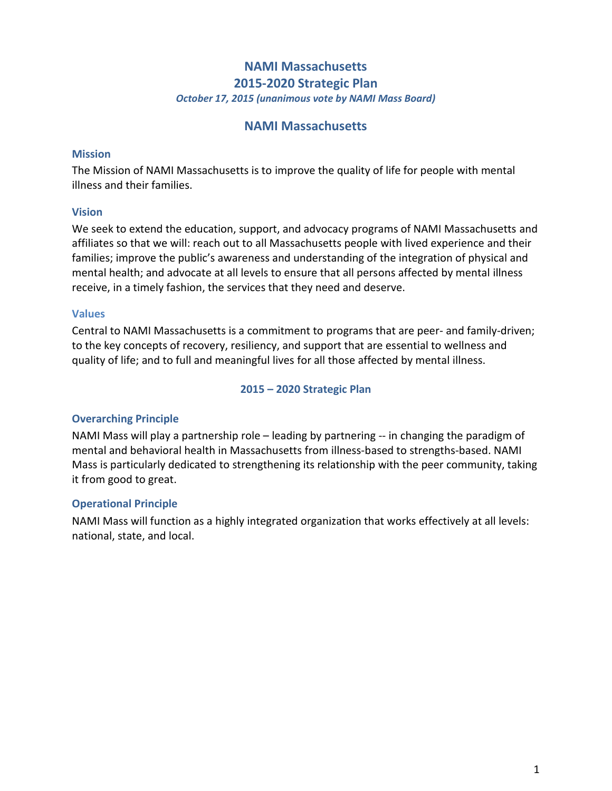# **NAMI Massachusetts 2015-2020 Strategic Plan** *October 17, 2015 (unanimous vote by NAMI Mass Board)*

# **NAMI Massachusetts**

#### **Mission**

The Mission of NAMI Massachusetts is to improve the quality of life for people with mental illness and their families.

## **Vision**

We seek to extend the education, support, and advocacy programs of NAMI Massachusetts and affiliates so that we will: reach out to all Massachusetts people with lived experience and their families; improve the public's awareness and understanding of the integration of physical and mental health; and advocate at all levels to ensure that all persons affected by mental illness receive, in a timely fashion, the services that they need and deserve.

## **Values**

Central to NAMI Massachusetts is a commitment to programs that are peer- and family-driven; to the key concepts of recovery, resiliency, and support that are essential to wellness and quality of life; and to full and meaningful lives for all those affected by mental illness.

## **2015 – 2020 Strategic Plan**

# **Overarching Principle**

NAMI Mass will play a partnership role – leading by partnering -- in changing the paradigm of mental and behavioral health in Massachusetts from illness-based to strengths-based. NAMI Mass is particularly dedicated to strengthening its relationship with the peer community, taking it from good to great.

## **Operational Principle**

NAMI Mass will function as a highly integrated organization that works effectively at all levels: national, state, and local.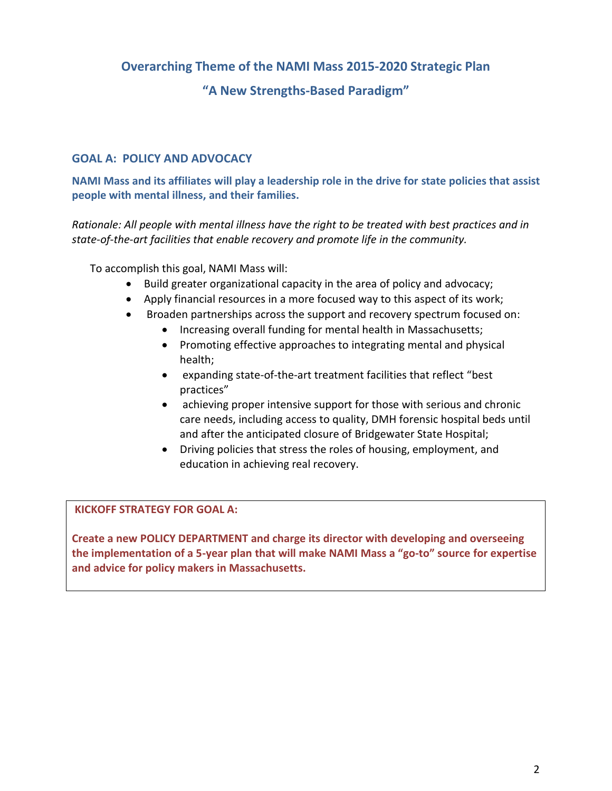# **Overarching Theme of the NAMI Mass 2015-2020 Strategic Plan**

# **"A New Strengths-Based Paradigm"**

## **GOAL A: POLICY AND ADVOCACY**

**NAMI Mass and its affiliates will play a leadership role in the drive for state policies that assist people with mental illness, and their families.**

*Rationale: All people with mental illness have the right to be treated with best practices and in state-of-the-art facilities that enable recovery and promote life in the community.* 

To accomplish this goal, NAMI Mass will:

- Build greater organizational capacity in the area of policy and advocacy;
- Apply financial resources in a more focused way to this aspect of its work;
- Broaden partnerships across the support and recovery spectrum focused on:
	- Increasing overall funding for mental health in Massachusetts;
	- Promoting effective approaches to integrating mental and physical health;
	- expanding state-of-the-art treatment facilities that reflect "best practices"
	- achieving proper intensive support for those with serious and chronic care needs, including access to quality, DMH forensic hospital beds until and after the anticipated closure of Bridgewater State Hospital;
	- Driving policies that stress the roles of housing, employment, and education in achieving real recovery.

#### **KICKOFF STRATEGY FOR GOAL A:**

**Create a new POLICY DEPARTMENT and charge its director with developing and overseeing the implementation of a 5-year plan that will make NAMI Mass a "go-to" source for expertise and advice for policy makers in Massachusetts.**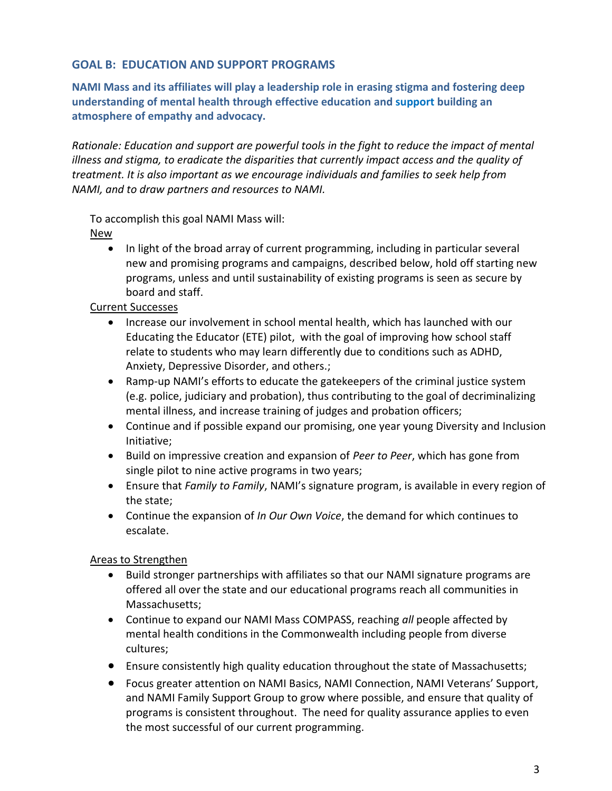## **GOAL B: EDUCATION AND SUPPORT PROGRAMS**

**NAMI Mass and its affiliates will play a leadership role in erasing stigma and fostering deep understanding of mental health through effective education and support building an atmosphere of empathy and advocacy.**

*Rationale: Education and support are powerful tools in the fight to reduce the impact of mental illness and stigma, to eradicate the disparities that currently impact access and the quality of treatment. It is also important as we encourage individuals and families to seek help from NAMI, and to draw partners and resources to NAMI.*

To accomplish this goal NAMI Mass will:

## New

• In light of the broad array of current programming, including in particular several new and promising programs and campaigns, described below, hold off starting new programs, unless and until sustainability of existing programs is seen as secure by board and staff.

## Current Successes

- Increase our involvement in school mental health, which has launched with our Educating the Educator (ETE) pilot, with the goal of improving how school staff relate to students who may learn differently due to conditions such as ADHD, Anxiety, Depressive Disorder, and others.;
- Ramp-up NAMI's efforts to educate the gatekeepers of the criminal justice system (e.g. police, judiciary and probation), thus contributing to the goal of decriminalizing mental illness, and increase training of judges and probation officers;
- Continue and if possible expand our promising, one year young Diversity and Inclusion Initiative;
- Build on impressive creation and expansion of *Peer to Peer*, which has gone from single pilot to nine active programs in two years;
- Ensure that *Family to Family*, NAMI's signature program, is available in every region of the state;
- Continue the expansion of *In Our Own Voice*, the demand for which continues to escalate.

# Areas to Strengthen

- Build stronger partnerships with affiliates so that our NAMI signature programs are offered all over the state and our educational programs reach all communities in Massachusetts;
- Continue to expand our NAMI Mass COMPASS, reaching *all* people affected by mental health conditions in the Commonwealth including people from diverse cultures;
- Ensure consistently high quality education throughout the state of Massachusetts;
- Focus greater attention on NAMI Basics, NAMI Connection, NAMI Veterans' Support, and NAMI Family Support Group to grow where possible, and ensure that quality of programs is consistent throughout. The need for quality assurance applies to even the most successful of our current programming.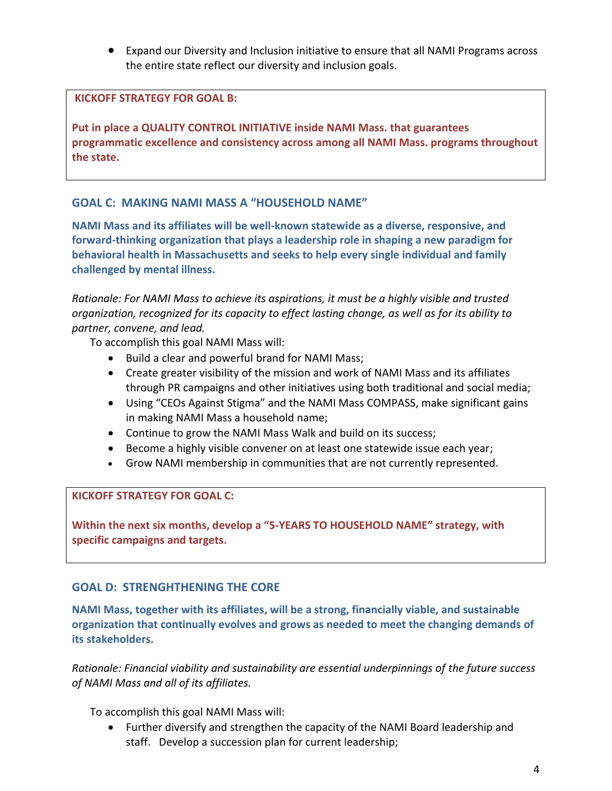Expand our Diversity and Inclusion initiative to ensure that all NAMI Programs across the entire state reflect our diversity and inclusion goals.

#### **KICKOFF STRATEGY FOR GOAL B:**

**Put in place a QUALITY CONTROL INITIATIVE inside NAMI Mass. that guarantees programmatic excellence and consistency across among all NAMI Mass. programs throughout the state.**

## **GOAL C: MAKING NAMI MASS A "HOUSEHOLD NAME"**

**NAMI Mass and its affiliates will be well-known statewide as a diverse, responsive, and forward-thinking organization that plays a leadership role in shaping a new paradigm for behavioral health in Massachusetts and seeks to help every single individual and family challenged by mental illness.** 

*Rationale: For NAMI Mass to achieve its aspirations, it must be a highly visible and trusted organization, recognized for its capacity to effect lasting change, as well as for its ability to partner, convene, and lead.* 

To accomplish this goal NAMI Mass will:

- Build a clear and powerful brand for NAMI Mass;
- Create greater visibility of the mission and work of NAMI Mass and its affiliates through PR campaigns and other initiatives using both traditional and social media;
- Using "CEOs Against Stigma" and the NAMI Mass COMPASS, make significant gains in making NAMI Mass a household name;
- Continue to grow the NAMI Mass Walk and build on its success;
- Become a highly visible convener on at least one statewide issue each year;
- Grow NAMI membership in communities that are not currently represented.

#### **KICKOFF STRATEGY FOR GOAL C:**

**Within the next six months, develop a "5-YEARS TO HOUSEHOLD NAME" strategy, with specific campaigns and targets.**

## **GOAL D: STRENGHTHENING THE CORE**

**NAMI Mass, together with its affiliates, will be a strong, financially viable, and sustainable organization that continually evolves and grows as needed to meet the changing demands of its stakeholders.** 

*Rationale: Financial viability and sustainability are essential underpinnings of the future success of NAMI Mass and all of its affiliates.*

To accomplish this goal NAMI Mass will:

 Further diversify and strengthen the capacity of the NAMI Board leadership and staff. Develop a succession plan for current leadership;